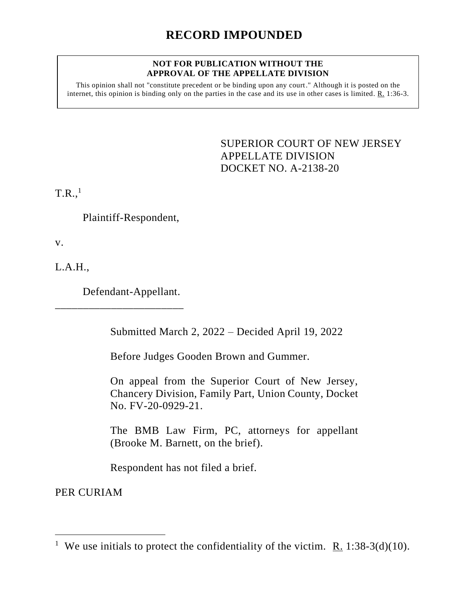## **NOT FOR PUBLICATION WITHOUT THE APPROVAL OF THE APPELLATE DIVISION**

This opinion shall not "constitute precedent or be binding upon any court." Although it is posted on the internet, this opinion is binding only on the parties in the case and its use in other cases is limited. R. 1:36-3.

> <span id="page-0-0"></span>SUPERIOR COURT OF NEW JERSEY APPELLATE DIVISION DOCKET NO. A-2138-20

 $T.R.,<sup>1</sup>$ 

Plaintiff-Respondent,

v.

L.A.H.,

Defendant-Appellant.

\_\_\_\_\_\_\_\_\_\_\_\_\_\_\_\_\_\_\_\_\_\_\_

Submitted March 2, 2022 – Decided April 19, 2022

Before Judges Gooden Brown and Gummer.

On appeal from the Superior Court of New Jersey, Chancery Division, Family Part, Union County, Docket No. FV-20-0929-21.

The BMB Law Firm, PC, attorneys for appellant (Brooke M. Barnett, on the brief).

Respondent has not filed a brief.

PER CURIAM

<sup>&</sup>lt;sup>1</sup> We use initials to protect the confidentiality of the victim. <u>R.</u> 1:38-3(d)(10).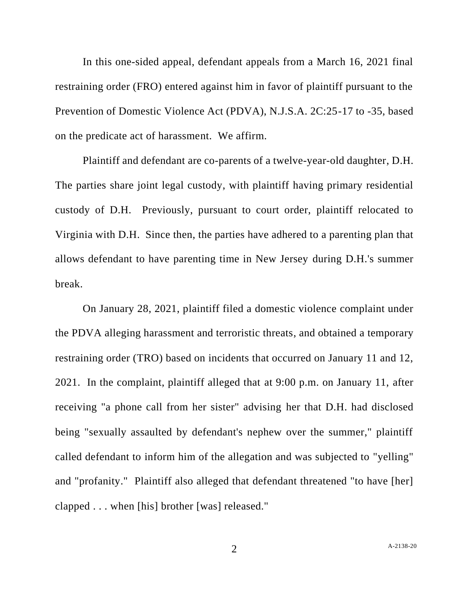In this one-sided appeal, defendant appeals from a March 16, 2021 final restraining order (FRO) entered against him in favor of plaintiff pursuant to the Prevention of Domestic Violence Act (PDVA), N.J.S.A. 2C:25-17 to -35, based on the predicate act of harassment. We affirm.

Plaintiff and defendant are co-parents of a twelve-year-old daughter, D.H. The parties share joint legal custody, with plaintiff having primary residential custody of D.H. Previously, pursuant to court order, plaintiff relocated to Virginia with D.H. Since then, the parties have adhered to a parenting plan that allows defendant to have parenting time in New Jersey during D.H.'s summer break.

On January 28, 2021, plaintiff filed a domestic violence complaint under the PDVA alleging harassment and terroristic threats, and obtained a temporary restraining order (TRO) based on incidents that occurred on January 11 and 12, 2021. In the complaint, plaintiff alleged that at 9:00 p.m. on January 11, after receiving "a phone call from her sister" advising her that D.H. had disclosed being "sexually assaulted by defendant's nephew over the summer," plaintiff called defendant to inform him of the allegation and was subjected to "yelling" and "profanity." Plaintiff also alleged that defendant threatened "to have [her] clapped . . . when [his] brother [was] released."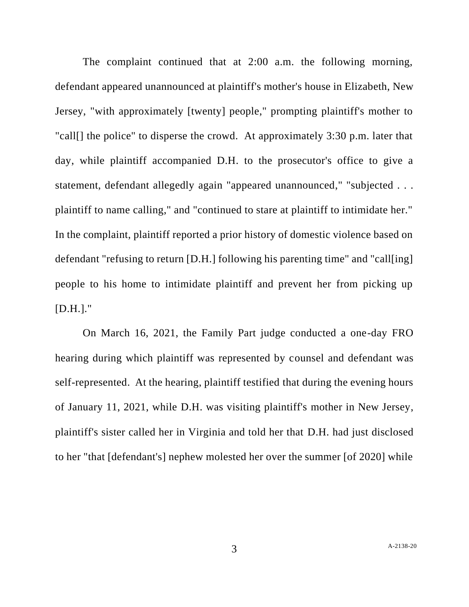The complaint continued that at 2:00 a.m. the following morning, defendant appeared unannounced at plaintiff's mother's house in Elizabeth, New Jersey, "with approximately [twenty] people," prompting plaintiff's mother to "call[] the police" to disperse the crowd. At approximately 3:30 p.m. later that day, while plaintiff accompanied D.H. to the prosecutor's office to give a statement, defendant allegedly again "appeared unannounced," "subjected . . . plaintiff to name calling," and "continued to stare at plaintiff to intimidate her." In the complaint, plaintiff reported a prior history of domestic violence based on defendant "refusing to return [D.H.] following his parenting time" and "call[ing] people to his home to intimidate plaintiff and prevent her from picking up  $[D.H.].$ "

On March 16, 2021, the Family Part judge conducted a one-day FRO hearing during which plaintiff was represented by counsel and defendant was self-represented. At the hearing, plaintiff testified that during the evening hours of January 11, 2021, while D.H. was visiting plaintiff's mother in New Jersey, plaintiff's sister called her in Virginia and told her that D.H. had just disclosed to her "that [defendant's] nephew molested her over the summer [of 2020] while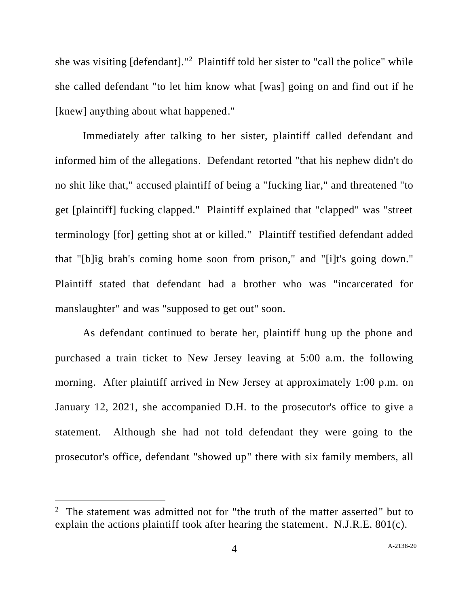she was visiting [defendant]."<sup>2</sup> Plaintiff told her sister to "call the police" while she called defendant "to let him know what [was] going on and find out if he [knew] anything about what happened."

Immediately after talking to her sister, plaintiff called defendant and informed him of the allegations. Defendant retorted "that his nephew didn't do no shit like that," accused plaintiff of being a "fucking liar," and threatened "to get [plaintiff] fucking clapped." Plaintiff explained that "clapped" was "street terminology [for] getting shot at or killed." Plaintiff testified defendant added that "[b]ig brah's coming home soon from prison," and "[i]t's going down." Plaintiff stated that defendant had a brother who was "incarcerated for manslaughter" and was "supposed to get out" soon.

As defendant continued to berate her, plaintiff hung up the phone and purchased a train ticket to New Jersey leaving at 5:00 a.m. the following morning. After plaintiff arrived in New Jersey at approximately 1:00 p.m. on January 12, 2021, she accompanied D.H. to the prosecutor's office to give a statement. Although she had not told defendant they were going to the prosecutor's office, defendant "showed up" there with six family members, all

<sup>&</sup>lt;sup>2</sup> The statement was admitted not for "the truth of the matter asserted" but to explain the actions plaintiff took after hearing the statement. N.J.R.E. 801(c).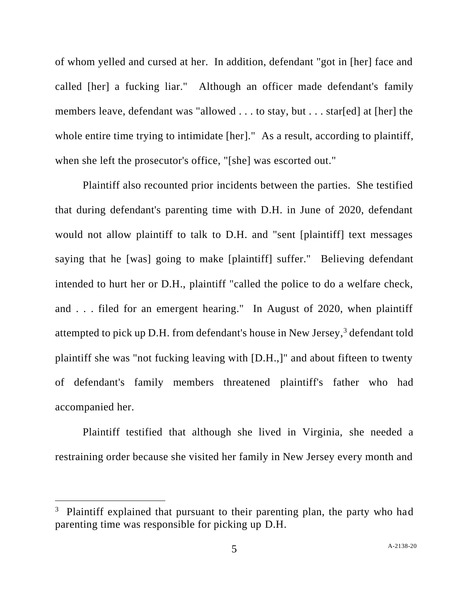of whom yelled and cursed at her. In addition, defendant "got in [her] face and called [her] a fucking liar." Although an officer made defendant's family members leave, defendant was "allowed . . . to stay, but . . . star[ed] at [her] the whole entire time trying to intimidate [her]." As a result, according to plaintiff, when she left the prosecutor's office, "[she] was escorted out."

Plaintiff also recounted prior incidents between the parties. She testified that during defendant's parenting time with D.H. in June of 2020, defendant would not allow plaintiff to talk to D.H. and "sent [plaintiff] text messages saying that he [was] going to make [plaintiff] suffer." Believing defendant intended to hurt her or D.H., plaintiff "called the police to do a welfare check, and . . . filed for an emergent hearing." In August of 2020, when plaintiff attempted to pick up D.H. from defendant's house in New Jersey,<sup>3</sup> defendant told plaintiff she was "not fucking leaving with [D.H.,]" and about fifteen to twenty of defendant's family members threatened plaintiff's father who had accompanied her.

Plaintiff testified that although she lived in Virginia, she needed a restraining order because she visited her family in New Jersey every month and

<sup>&</sup>lt;sup>3</sup> Plaintiff explained that pursuant to their parenting plan, the party who had parenting time was responsible for picking up D.H.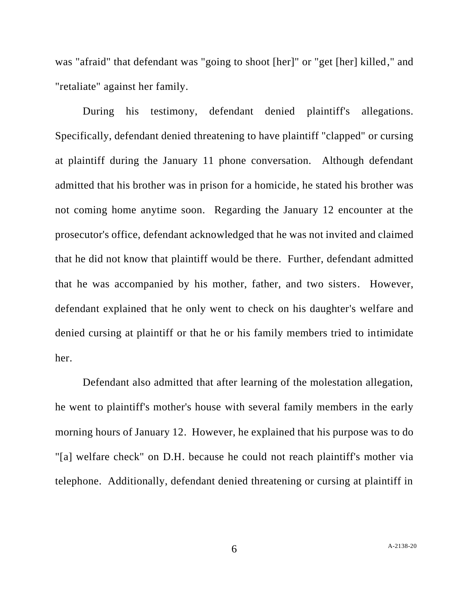was "afraid" that defendant was "going to shoot [her]" or "get [her] killed," and "retaliate" against her family.

During his testimony, defendant denied plaintiff's allegations. Specifically, defendant denied threatening to have plaintiff "clapped" or cursing at plaintiff during the January 11 phone conversation. Although defendant admitted that his brother was in prison for a homicide, he stated his brother was not coming home anytime soon. Regarding the January 12 encounter at the prosecutor's office, defendant acknowledged that he was not invited and claimed that he did not know that plaintiff would be there. Further, defendant admitted that he was accompanied by his mother, father, and two sisters. However, defendant explained that he only went to check on his daughter's welfare and denied cursing at plaintiff or that he or his family members tried to intimidate her.

Defendant also admitted that after learning of the molestation allegation, he went to plaintiff's mother's house with several family members in the early morning hours of January 12. However, he explained that his purpose was to do "[a] welfare check" on D.H. because he could not reach plaintiff's mother via telephone. Additionally, defendant denied threatening or cursing at plaintiff in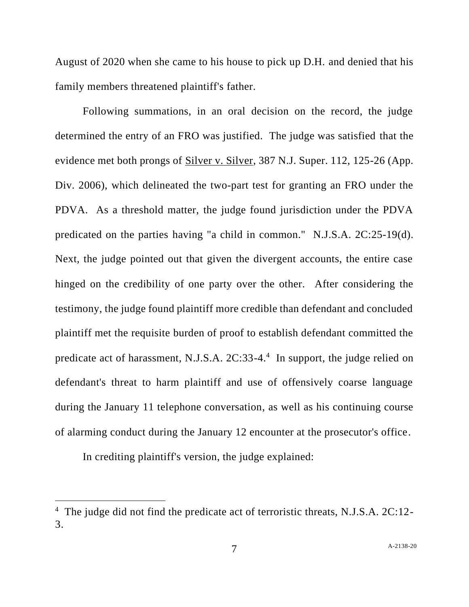August of 2020 when she came to his house to pick up D.H. and denied that his family members threatened plaintiff's father.

Following summations, in an oral decision on the record, the judge determined the entry of an FRO was justified. The judge was satisfied that the evidence met both prongs of Silver v. Silver, 387 N.J. Super. 112, 125-26 (App. Div. 2006), which delineated the two-part test for granting an FRO under the PDVA. As a threshold matter, the judge found jurisdiction under the PDVA predicated on the parties having "a child in common." N.J.S.A. 2C:25-19(d). Next, the judge pointed out that given the divergent accounts, the entire case hinged on the credibility of one party over the other. After considering the testimony, the judge found plaintiff more credible than defendant and concluded plaintiff met the requisite burden of proof to establish defendant committed the predicate act of harassment, N.J.S.A. 2C:33-4. 4 In support, the judge relied on defendant's threat to harm plaintiff and use of offensively coarse language during the January 11 telephone conversation, as well as his continuing course of alarming conduct during the January 12 encounter at the prosecutor's office.

In crediting plaintiff's version, the judge explained:

<sup>&</sup>lt;sup>4</sup> The judge did not find the predicate act of terroristic threats, N.J.S.A. 2C:12-3.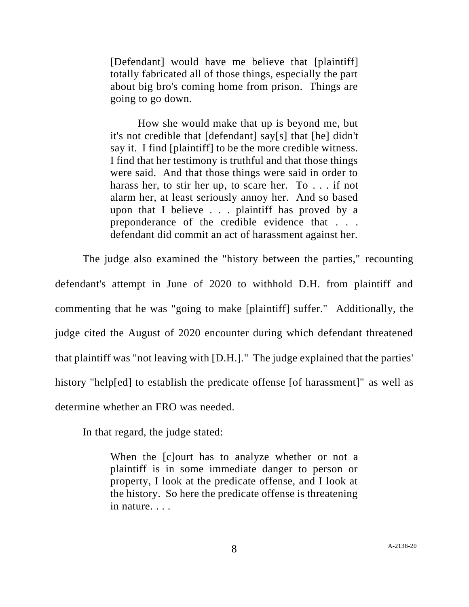[Defendant] would have me believe that [plaintiff] totally fabricated all of those things, especially the part about big bro's coming home from prison. Things are going to go down.

How she would make that up is beyond me, but it's not credible that [defendant] say[s] that [he] didn't say it. I find [plaintiff] to be the more credible witness. I find that her testimony is truthful and that those things were said. And that those things were said in order to harass her, to stir her up, to scare her. To . . . if not alarm her, at least seriously annoy her. And so based upon that I believe . . . plaintiff has proved by a preponderance of the credible evidence that . . . defendant did commit an act of harassment against her.

The judge also examined the "history between the parties," recounting defendant's attempt in June of 2020 to withhold D.H. from plaintiff and commenting that he was "going to make [plaintiff] suffer." Additionally, the judge cited the August of 2020 encounter during which defendant threatened that plaintiff was "not leaving with [D.H.]." The judge explained that the parties' history "help[ed] to establish the predicate offense [of harassment]" as well as determine whether an FRO was needed.

In that regard, the judge stated:

When the [c]ourt has to analyze whether or not a plaintiff is in some immediate danger to person or property, I look at the predicate offense, and I look at the history. So here the predicate offense is threatening in nature. . . .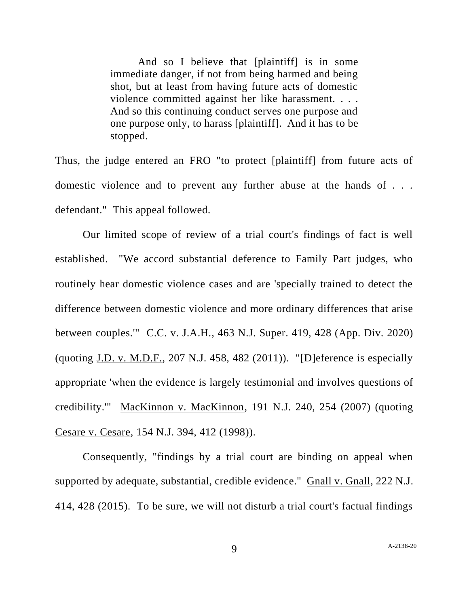And so I believe that [plaintiff] is in some immediate danger, if not from being harmed and being shot, but at least from having future acts of domestic violence committed against her like harassment. . . . And so this continuing conduct serves one purpose and one purpose only, to harass [plaintiff]. And it has to be stopped.

Thus, the judge entered an FRO "to protect [plaintiff] from future acts of domestic violence and to prevent any further abuse at the hands of . . . defendant." This appeal followed.

Our limited scope of review of a trial court's findings of fact is well established. "We accord substantial deference to Family Part judges, who routinely hear domestic violence cases and are 'specially trained to detect the difference between domestic violence and more ordinary differences that arise between couples.'" C.C. v. J.A.H., 463 N.J. Super. 419, 428 (App. Div. 2020) (quoting J.D. v. M.D.F., 207 N.J. 458, 482 (2011)). "[D]eference is especially appropriate 'when the evidence is largely testimonial and involves questions of credibility.'" MacKinnon v. MacKinnon, 191 N.J. 240, 254 (2007) (quoting Cesare v. Cesare, 154 N.J. 394, 412 (1998)).

Consequently, "findings by a trial court are binding on appeal when supported by adequate, substantial, credible evidence." Gnall v. Gnall, 222 N.J. 414, 428 (2015). To be sure, we will not disturb a trial court's factual findings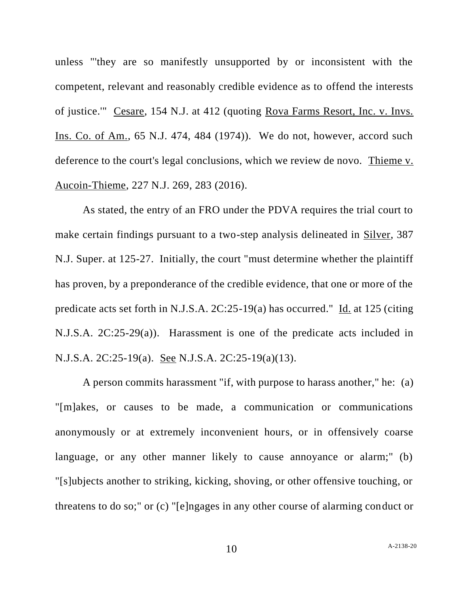unless "'they are so manifestly unsupported by or inconsistent with the competent, relevant and reasonably credible evidence as to offend the interests of justice.'" Cesare, 154 N.J. at 412 (quoting Rova Farms Resort, Inc. v. Invs. Ins. Co. of Am., 65 N.J. 474, 484 (1974)). We do not, however, accord such deference to the court's legal conclusions, which we review de novo. Thieme v. Aucoin-Thieme, 227 N.J. 269, 283 (2016).

As stated, the entry of an FRO under the PDVA requires the trial court to make certain findings pursuant to a two-step analysis delineated in Silver, 387 N.J. Super. at 125-27. Initially, the court "must determine whether the plaintiff has proven, by a preponderance of the credible evidence, that one or more of the predicate acts set forth in N.J.S.A. 2C:25-19(a) has occurred." Id. at 125 (citing N.J.S.A. 2C:25-29(a)). Harassment is one of the predicate acts included in N.J.S.A. 2C:25-19(a). See N.J.S.A. 2C:25-19(a)(13).

A person commits harassment "if, with purpose to harass another," he: (a) "[m]akes, or causes to be made, a communication or communications anonymously or at extremely inconvenient hours, or in offensively coarse language, or any other manner likely to cause annoyance or alarm;" (b) "[s]ubjects another to striking, kicking, shoving, or other offensive touching, or threatens to do so;" or (c) "[e]ngages in any other course of alarming conduct or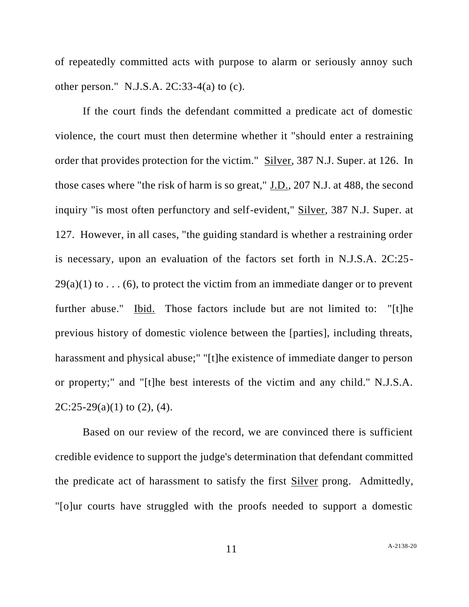of repeatedly committed acts with purpose to alarm or seriously annoy such other person." N.J.S.A.  $2C:33-4(a)$  to (c).

If the court finds the defendant committed a predicate act of domestic violence, the court must then determine whether it "should enter a restraining order that provides protection for the victim." Silver, 387 N.J. Super. at 126. In those cases where "the risk of harm is so great," J.D., 207 N.J. at 488, the second inquiry "is most often perfunctory and self-evident," Silver, 387 N.J. Super. at 127. However, in all cases, "the guiding standard is whether a restraining order is necessary, upon an evaluation of the factors set forth in N.J.S.A. 2C:25-  $29(a)(1)$  to ... (6), to protect the victim from an immediate danger or to prevent further abuse." Ibid. Those factors include but are not limited to: "[t]he previous history of domestic violence between the [parties], including threats, harassment and physical abuse;" "[t]he existence of immediate danger to person or property;" and "[t]he best interests of the victim and any child." N.J.S.A.  $2C:25-29(a)(1)$  to  $(2)$ ,  $(4)$ .

Based on our review of the record, we are convinced there is sufficient credible evidence to support the judge's determination that defendant committed the predicate act of harassment to satisfy the first Silver prong. Admittedly, "[o]ur courts have struggled with the proofs needed to support a domestic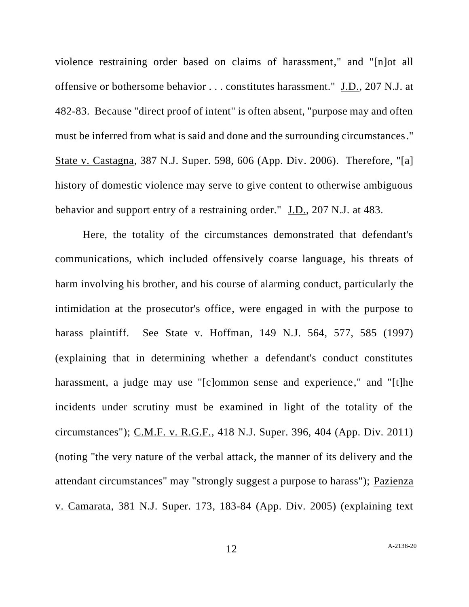violence restraining order based on claims of harassment," and "[n]ot all offensive or bothersome behavior . . . constitutes harassment." J.D., 207 N.J. at 482-83. Because "direct proof of intent" is often absent, "purpose may and often must be inferred from what is said and done and the surrounding circumstances." State v. Castagna, 387 N.J. Super. 598, 606 (App. Div. 2006). Therefore, "[a] history of domestic violence may serve to give content to otherwise ambiguous behavior and support entry of a restraining order." J.D., 207 N.J. at 483.

Here, the totality of the circumstances demonstrated that defendant's communications, which included offensively coarse language, his threats of harm involving his brother, and his course of alarming conduct, particularly the intimidation at the prosecutor's office, were engaged in with the purpose to harass plaintiff. See State v. Hoffman, 149 N.J. 564, 577, 585 (1997) (explaining that in determining whether a defendant's conduct constitutes harassment, a judge may use "[c]ommon sense and experience," and "[t]he incidents under scrutiny must be examined in light of the totality of the circumstances"); C.M.F. v. R.G.F., 418 N.J. Super. 396, 404 (App. Div. 2011) (noting "the very nature of the verbal attack, the manner of its delivery and the attendant circumstances" may "strongly suggest a purpose to harass"); Pazienza v. Camarata, 381 N.J. Super. 173, 183-84 (App. Div. 2005) (explaining text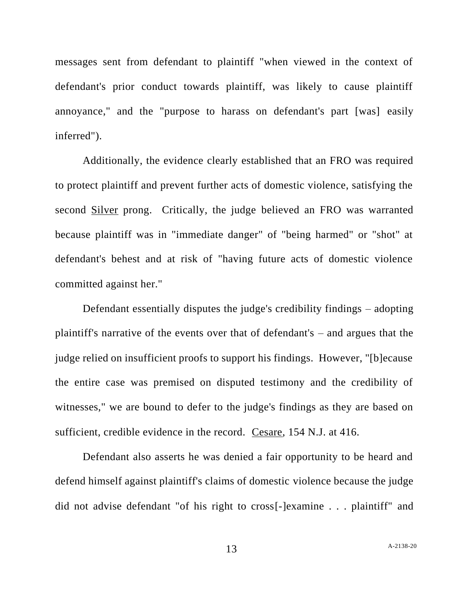messages sent from defendant to plaintiff "when viewed in the context of defendant's prior conduct towards plaintiff, was likely to cause plaintiff annoyance," and the "purpose to harass on defendant's part [was] easily inferred").

Additionally, the evidence clearly established that an FRO was required to protect plaintiff and prevent further acts of domestic violence, satisfying the second Silver prong. Critically, the judge believed an FRO was warranted because plaintiff was in "immediate danger" of "being harmed" or "shot" at defendant's behest and at risk of "having future acts of domestic violence committed against her."

Defendant essentially disputes the judge's credibility findings – adopting plaintiff's narrative of the events over that of defendant's – and argues that the judge relied on insufficient proofs to support his findings. However, "[b]ecause the entire case was premised on disputed testimony and the credibility of witnesses," we are bound to defer to the judge's findings as they are based on sufficient, credible evidence in the record. Cesare, 154 N.J. at 416.

Defendant also asserts he was denied a fair opportunity to be heard and defend himself against plaintiff's claims of domestic violence because the judge did not advise defendant "of his right to cross[-]examine . . . plaintiff" and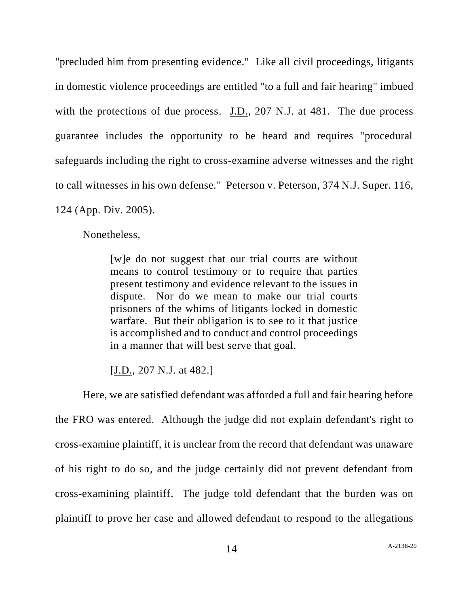"precluded him from presenting evidence." Like all civil proceedings, litigants in domestic violence proceedings are entitled "to a full and fair hearing" imbued with the protections of due process. J.D., 207 N.J. at 481. The due process guarantee includes the opportunity to be heard and requires "procedural safeguards including the right to cross-examine adverse witnesses and the right to call witnesses in his own defense." Peterson v. Peterson, 374 N.J. Super. 116, 124 (App. Div. 2005).

Nonetheless,

[w]e do not suggest that our trial courts are without means to control testimony or to require that parties present testimony and evidence relevant to the issues in dispute. Nor do we mean to make our trial courts prisoners of the whims of litigants locked in domestic warfare. But their obligation is to see to it that justice is accomplished and to conduct and control proceedings in a manner that will best serve that goal.

[J.D., 207 N.J. at 482.]

Here, we are satisfied defendant was afforded a full and fair hearing before the FRO was entered. Although the judge did not explain defendant's right to cross-examine plaintiff, it is unclear from the record that defendant was unaware of his right to do so, and the judge certainly did not prevent defendant from cross-examining plaintiff. The judge told defendant that the burden was on plaintiff to prove her case and allowed defendant to respond to the allegations